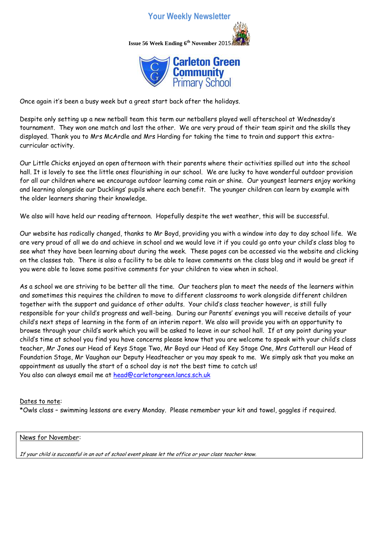## **Your Weekly Newsletter**





Once again it's been a busy week but a great start back after the holidays.

Despite only setting up a new netball team this term our netballers played well afterschool at Wednesday's tournament. They won one match and lost the other. We are very proud of their team spirit and the skills they displayed. Thank you to Mrs McArdle and Mrs Harding for taking the time to train and support this extracurricular activity.

Our Little Chicks enjoyed an open afternoon with their parents where their activities spilled out into the school hall. It is lovely to see the little ones flourishing in our school. We are lucky to have wonderful outdoor provision for all our children where we encourage outdoor learning come rain or shine. Our youngest learners enjoy working and learning alongside our Ducklings' pupils where each benefit. The younger children can learn by example with the older learners sharing their knowledge.

We also will have held our reading afternoon. Hopefully despite the wet weather, this will be successful.

Our website has radically changed, thanks to Mr Boyd, providing you with a window into day to day school life. We are very proud of all we do and achieve in school and we would love it if you could go onto your child's class blog to see what they have been learning about during the week. These pages can be accessed via the website and clicking on the classes tab. There is also a facility to be able to leave comments on the class blog and it would be great if you were able to leave some positive comments for your children to view when in school.

As a school we are striving to be better all the time. Our teachers plan to meet the needs of the learners within and sometimes this requires the children to move to different classrooms to work alongside different children together with the support and guidance of other adults. Your child's class teacher however, is still fully responsible for your child's progress and well-being. During our Parents' evenings you will receive details of your child's next steps of learning in the form of an interim report. We also will provide you with an opportunity to browse through your child's work which you will be asked to leave in our school hall. If at any point during your child's time at school you find you have concerns please know that you are welcome to speak with your child's class teacher, Mr Jones our Head of Keys Stage Two, Mr Boyd our Head of Key Stage One, Mrs Catterall our Head of Foundation Stage, Mr Vaughan our Deputy Headteacher or you may speak to me. We simply ask that you make an appointment as usually the start of a school day is not the best time to catch us! You also can always email me at [head@carletongreen.lancs.sch.uk](mailto:head@carletongreen.lancs.sch.uk)

## Dates to note:

\*Owls class – swimming lessons are every Monday. Please remember your kit and towel, goggles if required.

## News for November:

If your child is successful in an out of school event please let the office or your class teacher know.